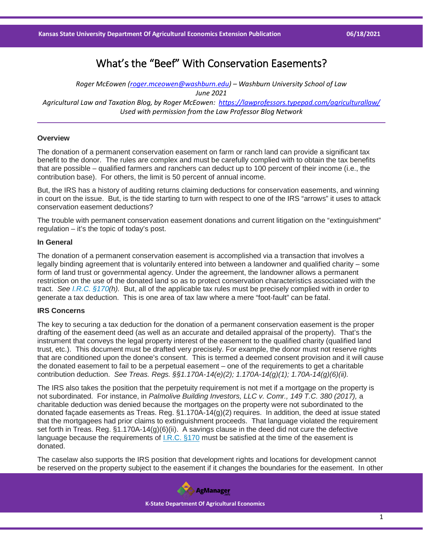# What's the "Beef" With Conservation Easements?

*Roger McEowen [\(roger.mceowen@washburn.edu\)](mailto:roger.mceowen@washburn.edu) – Washburn University School of Law June 2021 Agricultural Law and Taxation Blog, by Roger McEowen:<https://lawprofessors.typepad.com/agriculturallaw/> Used with permission from the Law Professor Blog Network*

# **Overview**

The donation of a permanent conservation easement on farm or ranch land can provide a significant tax benefit to the donor. The rules are complex and must be carefully complied with to obtain the tax benefits that are possible – qualified farmers and ranchers can deduct up to 100 percent of their income (i.e., the contribution base). For others, the limit is 50 percent of annual income.

But, the IRS has a history of auditing returns claiming deductions for conservation easements, and winning in court on the issue. But, is the tide starting to turn with respect to one of the IRS "arrows" it uses to attack conservation easement deductions?

The trouble with permanent conservation easement donations and current litigation on the "extinguishment" regulation – it's the topic of today's post.

## **In General**

The donation of a permanent conservation easement is accomplished via a transaction that involves a legally binding agreement that is voluntarily entered into between a landowner and qualified charity – some form of land trust or governmental agency. Under the agreement, the landowner allows a permanent restriction on the use of the donated land so as to protect conservation characteristics associated with the tract. *See [I.R.C. §170\(](https://casetext.com/statute/united-states-code/title-26-internal-revenue-code/subtitle-a-income-taxes/chapter-1-normal-taxes-and-surtaxes/subchapter-b-computation-of-taxable-income/part-vi-itemized-deductions-for-individuals-and-corporations/section-170-charitable-etc-contributions-and-gifts?ref=ArRBZs!zn0_xq)h).* But, all of the applicable tax rules must be precisely complied with in order to generate a tax deduction. This is one area of tax law where a mere "foot-fault" can be fatal.

# **IRS Concerns**

The key to securing a tax deduction for the donation of a permanent conservation easement is the proper drafting of the easement deed (as well as an accurate and detailed appraisal of the property). That's the instrument that conveys the legal property interest of the easement to the qualified charity (qualified land trust, etc.). This document must be drafted very precisely. For example, the donor must not reserve rights that are conditioned upon the donee's consent. This is termed a deemed consent provision and it will cause the donated easement to fail to be a perpetual easement – one of the requirements to get a charitable contribution deduction. *See Treas. Regs. §§1.170A-14(e)(2); 1.170A-14(g)(1); 1.70A-14(g)(6)(ii).*

The IRS also takes the position that the perpetuity requirement is not met if a mortgage on the property is not subordinated. For instance, in *Palmolive Building Investors, LLC v. Comr., 149 T.C. 380 (2017),* a charitable deduction was denied because the mortgages on the property were not subordinated to the donated façade easements as Treas. Reg. §1.170A-14(g)(2) requires. In addition, the deed at issue stated that the mortgagees had prior claims to extinguishment proceeds. That language violated the requirement set forth in Treas. Reg. §1.170A-14(g)(6)(ii). A savings clause in the deed did not cure the defective language because the requirements of [I.R.C. §170](https://casetext.com/statute/united-states-code/title-26-internal-revenue-code/subtitle-a-income-taxes/chapter-1-normal-taxes-and-surtaxes/subchapter-b-computation-of-taxable-income/part-vi-itemized-deductions-for-individuals-and-corporations/section-170-charitable-etc-contributions-and-gifts?ref=ArRBZs!zn0_xq) must be satisfied at the time of the easement is donated.

The caselaw also supports the IRS position that development rights and locations for development cannot be reserved on the property subject to the easement if it changes the boundaries for the easement. In other

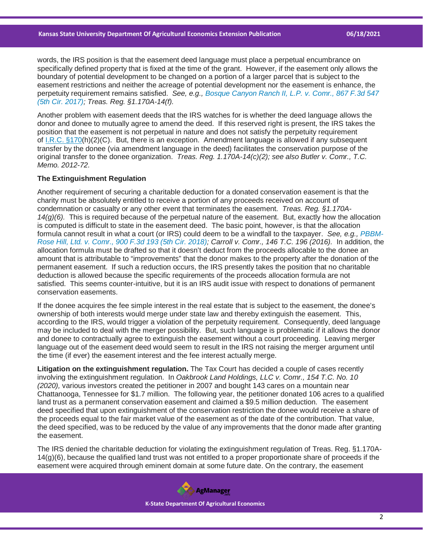words, the IRS position is that the easement deed language must place a perpetual encumbrance on specifically defined property that is fixed at the time of the grant. However, if the easement only allows the boundary of potential development to be changed on a portion of a larger parcel that is subject to the easement restrictions and neither the acreage of potential development nor the easement is enhance, the perpetuity requirement remains satisfied. *See, e.g., [Bosque Canyon Ranch II, L.P. v. Comr., 867 F.3d 547](https://casetext.com/case/bc-ranch-ii-lp-v-commr-of-internal-revenue?ref=ArRBZs!Wiaopv)  [\(5th Cir. 2017\);](https://casetext.com/case/bc-ranch-ii-lp-v-commr-of-internal-revenue?ref=ArRBZs!Wiaopv) Treas. Reg. §1.170A-14(f).*

Another problem with easement deeds that the IRS watches for is whether the deed language allows the donor and donee to mutually agree to amend the deed. If this reserved right is present, the IRS takes the position that the easement is not perpetual in nature and does not satisfy the perpetuity requirement of [I.R.C. §170\(](https://casetext.com/statute/united-states-code/title-26-internal-revenue-code/subtitle-a-income-taxes/chapter-1-normal-taxes-and-surtaxes/subchapter-b-computation-of-taxable-income/part-vi-itemized-deductions-for-individuals-and-corporations/section-170-charitable-etc-contributions-and-gifts?ref=ArRBZs!zn0_xq)h)(2)(C). But, there is an exception. Amendment language is allowed if any subsequent transfer by the donee (via amendment language in the deed) facilitates the conservation purpose of the original transfer to the donee organization. *Treas. Reg. 1.170A-14(c)(2); see also Butler v. Comr., T.C. Memo. 2012-72.*

## **The Extinguishment Regulation**

Another requirement of securing a charitable deduction for a donated conservation easement is that the charity must be absolutely entitled to receive a portion of any proceeds received on account of condemnation or casualty or any other event that terminates the easement. *Treas. Reg. §1.170A-14(g)(6).* This is required because of the perpetual nature of the easement. But, exactly how the allocation is computed is difficult to state in the easement deed. The basic point, however, is that the allocation formula cannot result in what a court (or IRS) could deem to be a windfall to the taxpayer. *See, e.g., [PBBM-](https://casetext.com/case/pbbm-rose-hill-ltd-v-commr?ref=ArRBZs!JYiaPL)[Rose Hill, Ltd. v. Comr., 900 F.3d 193 \(5th Cir. 2018\);](https://casetext.com/case/pbbm-rose-hill-ltd-v-commr?ref=ArRBZs!JYiaPL) Carroll v. Comr., 146 T.C. 196 (2016).* In addition, the allocation formula must be drafted so that it doesn't deduct from the proceeds allocable to the donee an amount that is attributable to "improvements" that the donor makes to the property after the donation of the permanent easement. If such a reduction occurs, the IRS presently takes the position that no charitable deduction is allowed because the specific requirements of the proceeds allocation formula are not satisfied. This seems counter-intuitive, but it is an IRS audit issue with respect to donations of permanent conservation easements.

If the donee acquires the fee simple interest in the real estate that is subject to the easement, the donee's ownership of both interests would merge under state law and thereby extinguish the easement. This, according to the IRS, would trigger a violation of the perpetuity requirement. Consequently, deed language may be included to deal with the merger possibility. But, such language is problematic if it allows the donor and donee to contractually agree to extinguish the easement without a court proceeding. Leaving merger language out of the easement deed would seem to result in the IRS not raising the merger argument until the time (if ever) the easement interest and the fee interest actually merge.

**Litigation on the extinguishment regulation.** The Tax Court has decided a couple of cases recently involving the extinguishment regulation. In *Oakbrook Land Holdings, LLC v. Comr., 154 T.C. No. 10 (2020),* various investors created the petitioner in 2007 and bought 143 cares on a mountain near Chattanooga, Tennessee for \$1.7 million. The following year, the petitioner donated 106 acres to a qualified land trust as a permanent conservation easement and claimed a \$9.5 million deduction. The easement deed specified that upon extinguishment of the conservation restriction the donee would receive a share of the proceeds equal to the fair market value of the easement as of the date of the contribution. That value, the deed specified, was to be reduced by the value of any improvements that the donor made after granting the easement.

The IRS denied the charitable deduction for violating the extinguishment regulation of Treas. Reg. §1.170A-14(g)(6), because the qualified land trust was not entitled to a proper proportionate share of proceeds if the easement were acquired through eminent domain at some future date. On the contrary, the easement